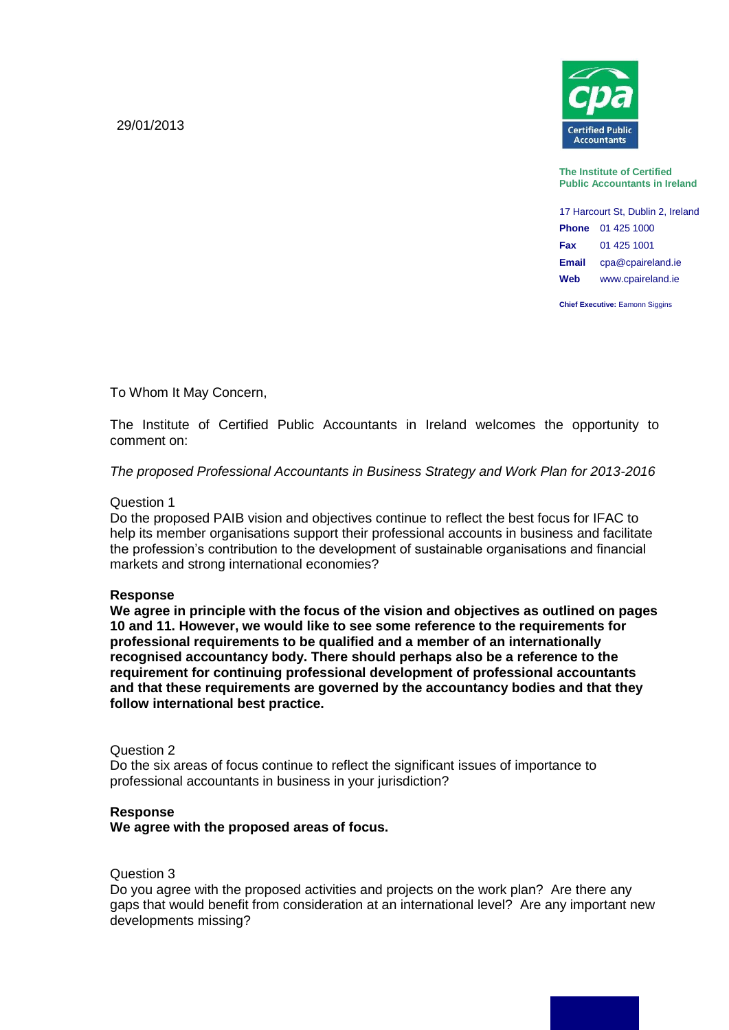29/01/2013



**The Institute of Certified Public Accountants in Ireland**

17 Harcourt St, Dublin 2, Ireland **Phone** 01 425 1000 **Fax** 01 425 1001 **Email** cpa@cpaireland.ie **Web** www.cpaireland.ie

**Chief Executive: Eamonn Siggins** 

To Whom It May Concern,

The Institute of Certified Public Accountants in Ireland welcomes the opportunity to comment on:

*The proposed Professional Accountants in Business Strategy and Work Plan for 2013-2016*

## Question 1

Do the proposed PAIB vision and objectives continue to reflect the best focus for IFAC to help its member organisations support their professional accounts in business and facilitate the profession's contribution to the development of sustainable organisations and financial markets and strong international economies?

## **Response**

**We agree in principle with the focus of the vision and objectives as outlined on pages 10 and 11. However, we would like to see some reference to the requirements for professional requirements to be qualified and a member of an internationally recognised accountancy body. There should perhaps also be a reference to the requirement for continuing professional development of professional accountants and that these requirements are governed by the accountancy bodies and that they follow international best practice.**

## Question 2

Do the six areas of focus continue to reflect the significant issues of importance to professional accountants in business in your jurisdiction?

## **Response**

**We agree with the proposed areas of focus.**

#### Question 3

Do you agree with the proposed activities and projects on the work plan? Are there any gaps that would benefit from consideration at an international level? Are any important new developments missing?